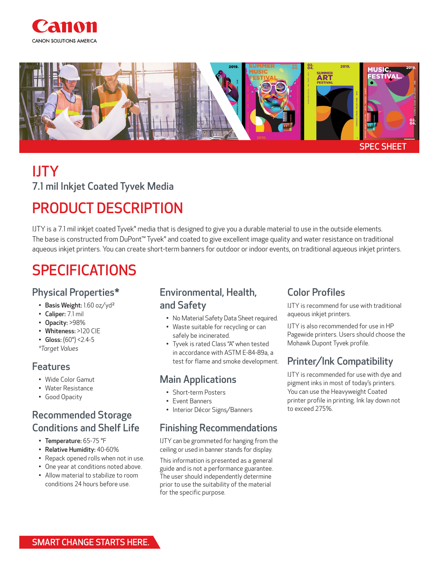



# IJTY 7.1 mil Inkjet Coated Tyvek Media

## PRODUCT DESCRIPTION

IJTY is a 7.1 mil inkjet coated Tyvek® media that is designed to give you a durable material to use in the outside elements. The base is constructed from DuPont™ Tyvek® and coated to give excellent image quality and water resistance on traditional aqueous inkjet printers. You can create short-term banners for outdoor or indoor events, on traditional aqueous inkjet printers.

## SPECIFICATIONS

#### Physical Properties\*

- Basis Weight: 1.60 oz/yd²
- Caliper: 7.1 mil
- Opacity: >98%
- Whiteness: >120 CIE
- Gloss:  $(60^{\circ})$  < 2.4-5 *\*Target Values*

#### Features

- Wide Color Gamut
- Water Resistance
- Good Opacity

#### Recommended Storage Conditions and Shelf Life

- Temperature: 65-75 °F
- Relative Humidity: 40-60%
- Repack opened rolls when not in use.
- One year at conditions noted above.
- Allow material to stabilize to room conditions 24 hours before use.

#### Environmental, Health, and Safety

- No Material Safety Data Sheet required.
- Waste suitable for recycling or can safely be incinerated.
- Tyvek is rated Class "A" when tested in accordance with ASTM E-84-89a, a test for flame and smoke development.

#### Main Applications

- Short-term Posters
- Event Banners
- Interior Décor Signs/Banners

#### Finishing Recommendations

IJTY can be grommeted for hanging from the ceiling or used in banner stands for display.

This information is presented as a general guide and is not a performance guarantee. The user should independently determine prior to use the suitability of the material for the specific purpose.

### Color Profiles

IJTY is recommend for use with traditional aqueous inkjet printers.

IJTY is also recommended for use in HP Pagewide printers. Users should choose the Mohawk Dupont Tyvek profile.

### Printer/Ink Compatibility

IJTY is recommended for use with dye and pigment inks in most of today's printers. You can use the Heavyweight Coated printer profile in printing. Ink lay down not to exceed 275%.